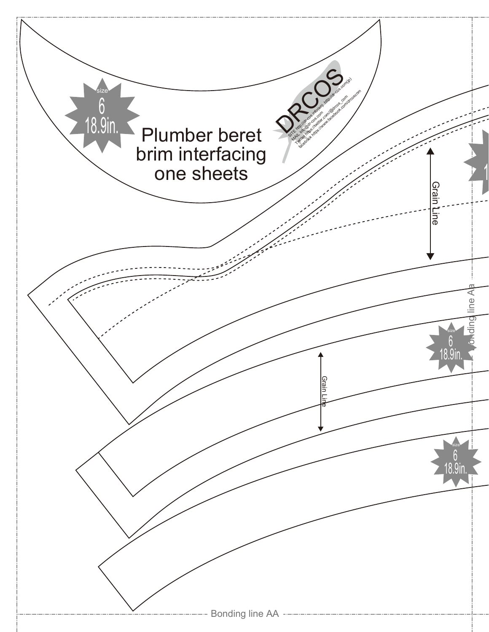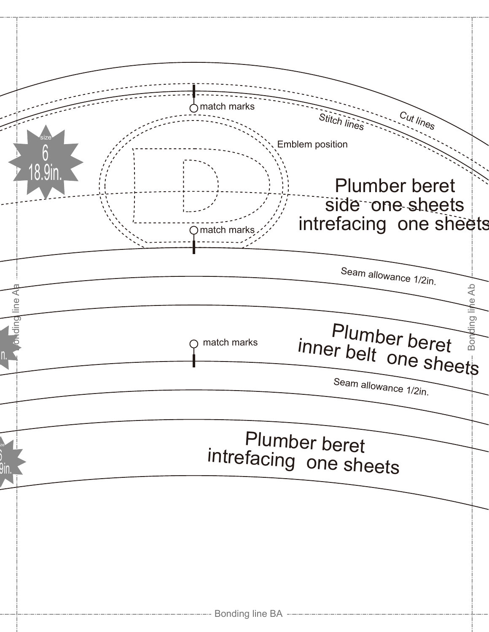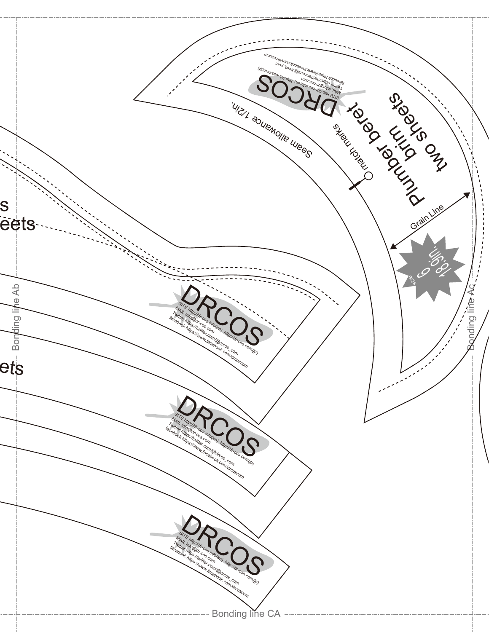